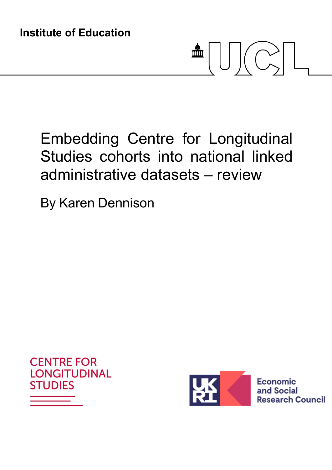# $\frac{1}{\sqrt{2\pi}}\left|\left|\left|\left|\left|\left(\bigcap_{i=1}^{N}\right)\right|\right|\right|\right|$

## Embedding Centre for Longitudinal Studies cohorts into national linked administrative datasets – review

By Karen Dennison





Economic and Social **Research Council**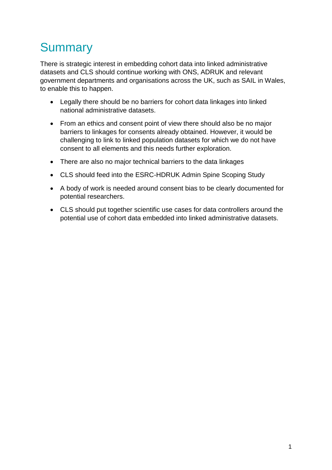## **Summary**

There is strategic interest in embedding cohort data into linked administrative datasets and CLS should continue working with ONS, ADRUK and relevant government departments and organisations across the UK, such as SAIL in Wales, to enable this to happen.

- Legally there should be no barriers for cohort data linkages into linked national administrative datasets.
- From an ethics and consent point of view there should also be no major barriers to linkages for consents already obtained. However, it would be challenging to link to linked population datasets for which we do not have consent to all elements and this needs further exploration.
- There are also no major technical barriers to the data linkages
- CLS should feed into the ESRC-HDRUK Admin Spine Scoping Study
- A body of work is needed around consent bias to be clearly documented for potential researchers.
- CLS should put together scientific use cases for data controllers around the potential use of cohort data embedded into linked administrative datasets.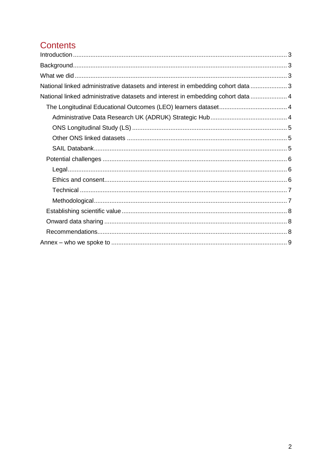### **Contents**

| National linked administrative datasets and interest in embedding cohort data 3  |  |
|----------------------------------------------------------------------------------|--|
| National linked administrative datasets and interest in embedding cohort data  4 |  |
|                                                                                  |  |
|                                                                                  |  |
|                                                                                  |  |
|                                                                                  |  |
|                                                                                  |  |
|                                                                                  |  |
|                                                                                  |  |
|                                                                                  |  |
|                                                                                  |  |
|                                                                                  |  |
|                                                                                  |  |
|                                                                                  |  |
|                                                                                  |  |
|                                                                                  |  |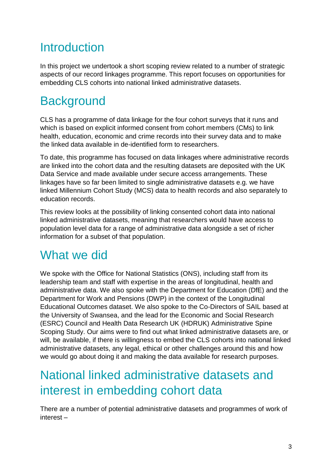## <span id="page-3-0"></span>**Introduction**

In this project we undertook a short scoping review related to a number of strategic aspects of our record linkages programme. This report focuses on opportunities for embedding CLS cohorts into national linked administrative datasets.

## <span id="page-3-1"></span>**Background**

CLS has a programme of data linkage for the four cohort surveys that it runs and which is based on explicit informed consent from cohort members (CMs) to link health, education, economic and crime records into their survey data and to make the linked data available in de-identified form to researchers.

To date, this programme has focused on data linkages where administrative records are linked into the cohort data and the resulting datasets are deposited with the UK Data Service and made available under secure access arrangements. These linkages have so far been limited to single administrative datasets e.g. we have linked Millennium Cohort Study (MCS) data to health records and also separately to education records.

This review looks at the possibility of linking consented cohort data into national linked administrative datasets, meaning that researchers would have access to population level data for a range of administrative data alongside a set of richer information for a subset of that population.

## <span id="page-3-2"></span>What we did

We spoke with the Office for National Statistics (ONS), including staff from its leadership team and staff with expertise in the areas of longitudinal, health and administrative data. We also spoke with the Department for Education (DfE) and the Department for Work and Pensions (DWP) in the context of the Longitudinal Educational Outcomes dataset. We also spoke to the Co-Directors of SAIL based at the University of Swansea, and the lead for the Economic and Social Research (ESRC) Council and Health Data Research UK (HDRUK) Administrative Spine Scoping Study. Our aims were to find out what linked administrative datasets are, or will, be available, if there is willingness to embed the CLS cohorts into national linked administrative datasets, any legal, ethical or other challenges around this and how we would go about doing it and making the data available for research purposes.

## <span id="page-3-3"></span>National linked administrative datasets and interest in embedding cohort data

There are a number of potential administrative datasets and programmes of work of interest –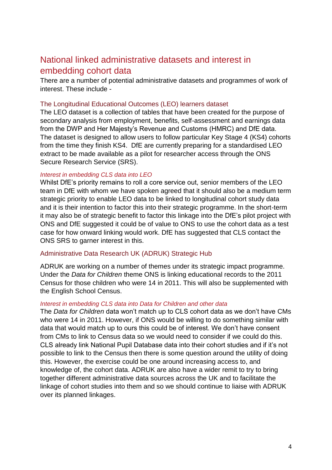#### <span id="page-4-0"></span>National linked administrative datasets and interest in embedding cohort data

There are a number of potential administrative datasets and programmes of work of interest. These include -

#### <span id="page-4-1"></span>The Longitudinal Educational Outcomes (LEO) learners dataset

The LEO dataset is a collection of tables that have been created for the purpose of secondary analysis from employment, benefits, self-assessment and earnings data from the DWP and Her Majesty's Revenue and Customs (HMRC) and DfE data. The dataset is designed to allow users to follow particular Key Stage 4 (KS4) cohorts from the time they finish KS4. DfE are currently preparing for a standardised LEO extract to be made available as a pilot for researcher access through the ONS Secure Research Service (SRS).

#### *Interest in embedding CLS data into LEO*

Whilst DfE's priority remains to roll a core service out, senior members of the LEO team in DfE with whom we have spoken agreed that it should also be a medium term strategic priority to enable LEO data to be linked to longitudinal cohort study data and it is their intention to factor this into their strategic programme. In the short-term it may also be of strategic benefit to factor this linkage into the DfE's pilot project with ONS and DfE suggested it could be of value to ONS to use the cohort data as a test case for how onward linking would work. DfE has suggested that CLS contact the ONS SRS to garner interest in this.

#### <span id="page-4-2"></span>Administrative Data Research UK (ADRUK) Strategic Hub

ADRUK are working on a number of themes under its strategic impact programme. Under the *Data for Children* theme ONS is linking educational records to the 2011 Census for those children who were 14 in 2011. This will also be supplemented with the English School Census.

#### *Interest in embedding CLS data into Data for Children and other data*

The *Data for Children* data won't match up to CLS cohort data as we don't have CMs who were 14 in 2011. However, if ONS would be willing to do something similar with data that would match up to ours this could be of interest. We don't have consent from CMs to link to Census data so we would need to consider if we could do this. CLS already link National Pupil Database data into their cohort studies and if it's not possible to link to the Census then there is some question around the utility of doing this. However, the exercise could be one around increasing access to, and knowledge of, the cohort data. ADRUK are also have a wider remit to try to bring together different administrative data sources across the UK and to facilitate the linkage of cohort studies into them and so we should continue to liaise with ADRUK over its planned linkages.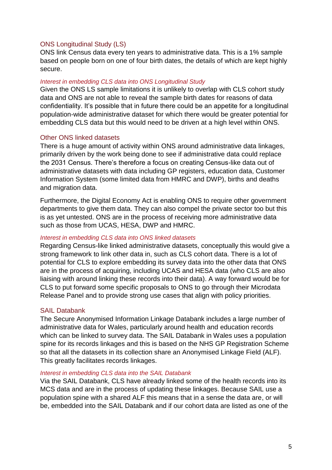#### <span id="page-5-0"></span>ONS Longitudinal Study (LS)

ONS link Census data every ten years to administrative data. This is a 1% sample based on people born on one of four birth dates, the details of which are kept highly secure.

#### *Interest in embedding CLS data into ONS Longitudinal Study*

Given the ONS LS sample limitations it is unlikely to overlap with CLS cohort study data and ONS are not able to reveal the sample birth dates for reasons of data confidentiality. It's possible that in future there could be an appetite for a longitudinal population-wide administrative dataset for which there would be greater potential for embedding CLS data but this would need to be driven at a high level within ONS.

#### <span id="page-5-1"></span>Other ONS linked datasets

There is a huge amount of activity within ONS around administrative data linkages, primarily driven by the work being done to see if administrative data could replace the 2031 Census. There's therefore a focus on creating Census-like data out of administrative datasets with data including GP registers, education data, Customer Information System (some limited data from HMRC and DWP), births and deaths and migration data.

Furthermore, the Digital Economy Act is enabling ONS to require other government departments to give them data. They can also compel the private sector too but this is as yet untested. ONS are in the process of receiving more administrative data such as those from UCAS, HESA, DWP and HMRC.

#### *Interest in embedding CLS data into ONS linked datasets*

Regarding Census-like linked administrative datasets, conceptually this would give a strong framework to link other data in, such as CLS cohort data. There is a lot of potential for CLS to explore embedding its survey data into the other data that ONS are in the process of acquiring, including UCAS and HESA data (who CLS are also liaising with around linking these records into their data). A way forward would be for CLS to put forward some specific proposals to ONS to go through their Microdata Release Panel and to provide strong use cases that align with policy priorities.

#### <span id="page-5-2"></span>SAIL Databank

The Secure Anonymised Information Linkage Databank includes a large number of administrative data for Wales, particularly around health and education records which can be linked to survey data. The SAIL Databank in Wales uses a population spine for its records linkages and this is based on the NHS GP Registration Scheme so that all the datasets in its collection share an Anonymised Linkage Field (ALF). This greatly facilitates records linkages.

#### *Interest in embedding CLS data into the SAIL Databank*

Via the SAIL Databank, CLS have already linked some of the health records into its MCS data and are in the process of updating these linkages. Because SAIL use a population spine with a shared ALF this means that in a sense the data are, or will be, embedded into the SAIL Databank and if our cohort data are listed as one of the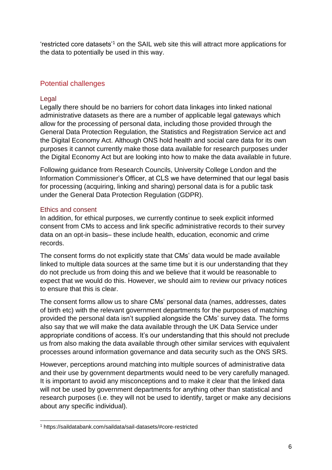'restricted core datasets'<sup>1</sup> on the SAIL web site this will attract more applications for the data to potentially be used in this way.

#### <span id="page-6-0"></span>Potential challenges

#### <span id="page-6-1"></span>Legal

Legally there should be no barriers for cohort data linkages into linked national administrative datasets as there are a number of applicable legal gateways which allow for the processing of personal data, including those provided through the General Data Protection Regulation, the Statistics and Registration Service act and the Digital Economy Act. Although ONS hold health and social care data for its own purposes it cannot currently make those data available for research purposes under the Digital Economy Act but are looking into how to make the data available in future.

Following guidance from Research Councils, University College London and the Information Commissioner's Officer, at CLS we have determined that our legal basis for processing (acquiring, linking and sharing) personal data is for a public task under the General Data Protection Regulation (GDPR).

#### <span id="page-6-2"></span>Ethics and consent

-

In addition, for ethical purposes, we currently continue to seek explicit informed consent from CMs to access and link specific administrative records to their survey data on an opt-in basis– these include health, education, economic and crime records.

The consent forms do not explicitly state that CMs' data would be made available linked to multiple data sources at the same time but it is our understanding that they do not preclude us from doing this and we believe that it would be reasonable to expect that we would do this. However, we should aim to review our privacy notices to ensure that this is clear.

The consent forms allow us to share CMs' personal data (names, addresses, dates of birth etc) with the relevant government departments for the purposes of matching provided the personal data isn't supplied alongside the CMs' survey data. The forms also say that we will make the data available through the UK Data Service under appropriate conditions of access. It's our understanding that this should not preclude us from also making the data available through other similar services with equivalent processes around information governance and data security such as the ONS SRS.

However, perceptions around matching into multiple sources of administrative data and their use by government departments would need to be very carefully managed. It is important to avoid any misconceptions and to make it clear that the linked data will not be used by government departments for anything other than statistical and research purposes (i.e. they will not be used to identify, target or make any decisions about any specific individual).

<sup>1</sup> https://saildatabank.com/saildata/sail-datasets/#core-restricted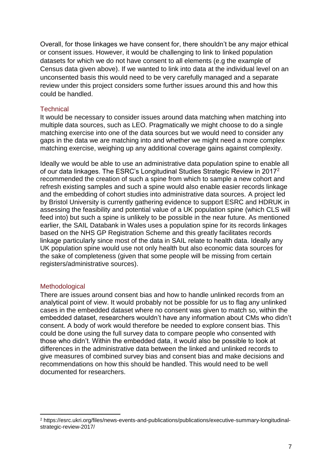Overall, for those linkages we have consent for, there shouldn't be any major ethical or consent issues. However, it would be challenging to link to linked population datasets for which we do not have consent to all elements (e.g the example of Census data given above). If we wanted to link into data at the individual level on an unconsented basis this would need to be very carefully managed and a separate review under this project considers some further issues around this and how this could be handled.

#### <span id="page-7-0"></span>**Technical**

It would be necessary to consider issues around data matching when matching into multiple data sources, such as LEO. Pragmatically we might choose to do a single matching exercise into one of the data sources but we would need to consider any gaps in the data we are matching into and whether we might need a more complex matching exercise, weighing up any additional coverage gains against complexity.

Ideally we would be able to use an administrative data population spine to enable all of our data linkages. The ESRC's Longitudinal Studies Strategic Review in 2017<sup>2</sup> recommended the creation of such a spine from which to sample a new cohort and refresh existing samples and such a spine would also enable easier records linkage and the embedding of cohort studies into administrative data sources. A project led by Bristol University is currently gathering evidence to support ESRC and HDRUK in assessing the feasibility and potential value of a UK population spine (which CLS will feed into) but such a spine is unlikely to be possible in the near future. As mentioned earlier, the SAIL Databank in Wales uses a population spine for its records linkages based on the NHS GP Registration Scheme and this greatly facilitates records linkage particularly since most of the data in SAIL relate to health data. Ideally any UK population spine would use not only health but also economic data sources for the sake of completeness (given that some people will be missing from certain registers/administrative sources).

#### <span id="page-7-1"></span>**Methodological**

-

There are issues around consent bias and how to handle unlinked records from an analytical point of view. It would probably not be possible for us to flag any unlinked cases in the embedded dataset where no consent was given to match so, within the embedded dataset, researchers wouldn't have any information about CMs who didn't consent. A body of work would therefore be needed to explore consent bias. This could be done using the full survey data to compare people who consented with those who didn't. Within the embedded data, it would also be possible to look at differences in the administrative data between the linked and unlinked records to give measures of combined survey bias and consent bias and make decisions and recommendations on how this should be handled. This would need to be well documented for researchers.

<sup>2</sup> https://esrc.ukri.org/files/news-events-and-publications/publications/executive-summary-longitudinalstrategic-review-2017/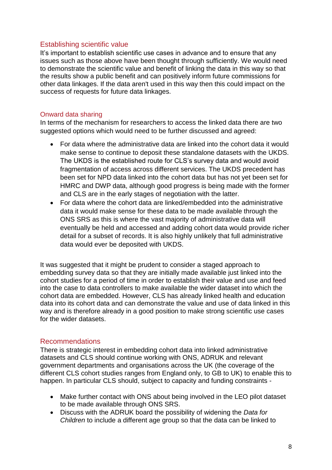#### <span id="page-8-0"></span>Establishing scientific value

It's important to establish scientific use cases in advance and to ensure that any issues such as those above have been thought through sufficiently. We would need to demonstrate the scientific value and benefit of linking the data in this way so that the results show a public benefit and can positively inform future commissions for other data linkages. If the data aren't used in this way then this could impact on the success of requests for future data linkages.

#### <span id="page-8-1"></span>Onward data sharing

In terms of the mechanism for researchers to access the linked data there are two suggested options which would need to be further discussed and agreed:

- For data where the administrative data are linked into the cohort data it would make sense to continue to deposit these standalone datasets with the UKDS. The UKDS is the established route for CLS's survey data and would avoid fragmentation of access across different services. The UKDS precedent has been set for NPD data linked into the cohort data but has not yet been set for HMRC and DWP data, although good progress is being made with the former and CLS are in the early stages of negotiation with the latter.
- For data where the cohort data are linked/embedded into the administrative data it would make sense for these data to be made available through the ONS SRS as this is where the vast majority of administrative data will eventually be held and accessed and adding cohort data would provide richer detail for a subset of records. It is also highly unlikely that full administrative data would ever be deposited with UKDS.

It was suggested that it might be prudent to consider a staged approach to embedding survey data so that they are initially made available just linked into the cohort studies for a period of time in order to establish their value and use and feed into the case to data controllers to make available the wider dataset into which the cohort data are embedded. However, CLS has already linked health and education data into its cohort data and can demonstrate the value and use of data linked in this way and is therefore already in a good position to make strong scientific use cases for the wider datasets.

#### <span id="page-8-2"></span>Recommendations

There is strategic interest in embedding cohort data into linked administrative datasets and CLS should continue working with ONS, ADRUK and relevant government departments and organisations across the UK (the coverage of the different CLS cohort studies ranges from England only, to GB to UK) to enable this to happen. In particular CLS should, subject to capacity and funding constraints -

- Make further contact with ONS about being involved in the LEO pilot dataset to be made available through ONS SRS.
- Discuss with the ADRUK board the possibility of widening the *Data for Children* to include a different age group so that the data can be linked to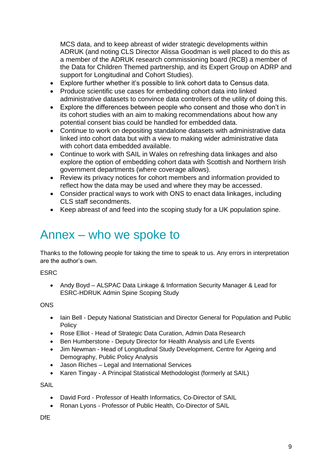MCS data, and to keep abreast of wider strategic developments within ADRUK (and noting CLS Director Alissa Goodman is well placed to do this as a member of the ADRUK research commissioning board (RCB) a member of the Data for Children Themed partnership, and its Expert Group on ADRP and support for Longitudinal and Cohort Studies).

- Explore further whether it's possible to link cohort data to Census data.
- Produce scientific use cases for embedding cohort data into linked administrative datasets to convince data controllers of the utility of doing this.
- Explore the differences between people who consent and those who don't in its cohort studies with an aim to making recommendations about how any potential consent bias could be handled for embedded data.
- Continue to work on depositing standalone datasets with administrative data linked into cohort data but with a view to making wider administrative data with cohort data embedded available.
- Continue to work with SAIL in Wales on refreshing data linkages and also explore the option of embedding cohort data with Scottish and Northern Irish government departments (where coverage allows).
- Review its privacy notices for cohort members and information provided to reflect how the data may be used and where they may be accessed.
- Consider practical ways to work with ONS to enact data linkages, including CLS staff secondments.
- Keep abreast of and feed into the scoping study for a UK population spine.

## <span id="page-9-0"></span>Annex – who we spoke to

Thanks to the following people for taking the time to speak to us. Any errors in interpretation are the author's own.

**FSRC** 

• Andy Boyd – ALSPAC Data Linkage & Information Security Manager & Lead for ESRC-HDRUK Admin Spine Scoping Study

**ONS** 

- Iain Bell Deputy National Statistician and Director General for Population and Public **Policy**
- Rose Elliot Head of Strategic Data Curation, Admin Data Research
- Ben Humberstone Deputy Director for Health Analysis and Life Events
- Jim Newman Head of Longitudinal Study Development, Centre for Ageing and Demography, Public Policy Analysis
- Jason Riches Legal and International Services
- Karen Tingay A Principal Statistical Methodologist (formerly at SAIL)

SAIL

- David Ford Professor of Health Informatics, Co-Director of SAIL
- Ronan Lyons Professor of Public Health, Co-Director of SAIL

DfE